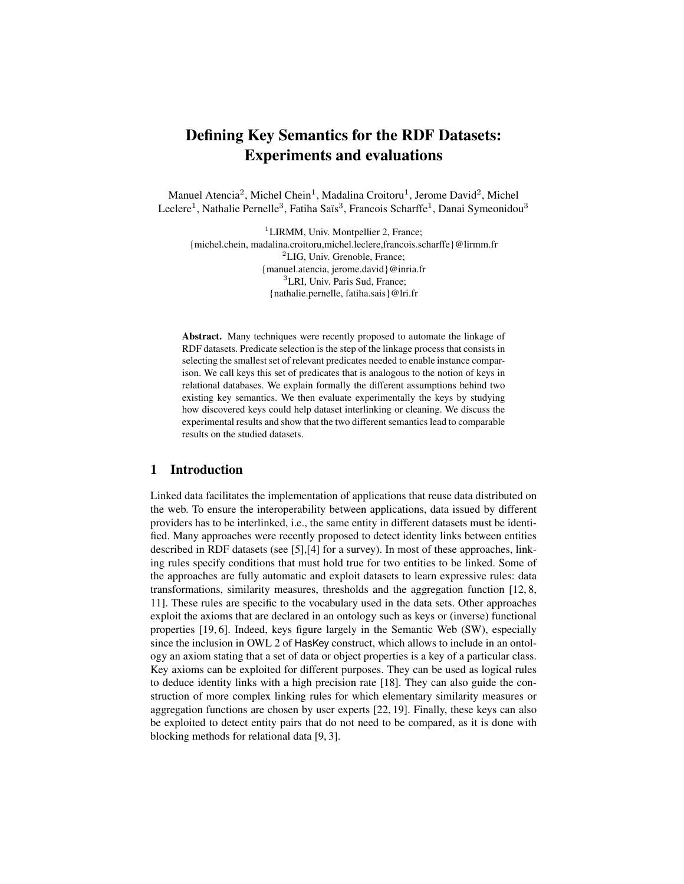# Defining Key Semantics for the RDF Datasets: Experiments and evaluations

Manuel Atencia<sup>2</sup>, Michel Chein<sup>1</sup>, Madalina Croitoru<sup>1</sup>, Jerome David<sup>2</sup>, Michel Leclere<sup>1</sup>, Nathalie Pernelle<sup>3</sup>, Fatiha Saïs<sup>3</sup>, Francois Scharffe<sup>1</sup>, Danai Symeonidou<sup>3</sup>

<sup>1</sup>LIRMM, Univ. Montpellier 2, France; {michel.chein, madalina.croitoru,michel.leclere,francois.scharffe}@lirmm.fr <sup>2</sup>LIG, Univ. Grenoble, France; {manuel.atencia, jerome.david}@inria.fr <sup>3</sup>LRI, Univ. Paris Sud, France; {nathalie.pernelle, fatiha.sais}@lri.fr

Abstract. Many techniques were recently proposed to automate the linkage of RDF datasets. Predicate selection is the step of the linkage process that consists in selecting the smallest set of relevant predicates needed to enable instance comparison. We call keys this set of predicates that is analogous to the notion of keys in relational databases. We explain formally the different assumptions behind two existing key semantics. We then evaluate experimentally the keys by studying how discovered keys could help dataset interlinking or cleaning. We discuss the experimental results and show that the two different semantics lead to comparable results on the studied datasets.

## 1 Introduction

Linked data facilitates the implementation of applications that reuse data distributed on the web. To ensure the interoperability between applications, data issued by different providers has to be interlinked, i.e., the same entity in different datasets must be identified. Many approaches were recently proposed to detect identity links between entities described in RDF datasets (see [5],[4] for a survey). In most of these approaches, linking rules specify conditions that must hold true for two entities to be linked. Some of the approaches are fully automatic and exploit datasets to learn expressive rules: data transformations, similarity measures, thresholds and the aggregation function [12, 8, 11]. These rules are specific to the vocabulary used in the data sets. Other approaches exploit the axioms that are declared in an ontology such as keys or (inverse) functional properties [19, 6]. Indeed, keys figure largely in the Semantic Web (SW), especially since the inclusion in OWL 2 of HasKey construct, which allows to include in an ontology an axiom stating that a set of data or object properties is a key of a particular class. Key axioms can be exploited for different purposes. They can be used as logical rules to deduce identity links with a high precision rate [18]. They can also guide the construction of more complex linking rules for which elementary similarity measures or aggregation functions are chosen by user experts [22, 19]. Finally, these keys can also be exploited to detect entity pairs that do not need to be compared, as it is done with blocking methods for relational data [9, 3].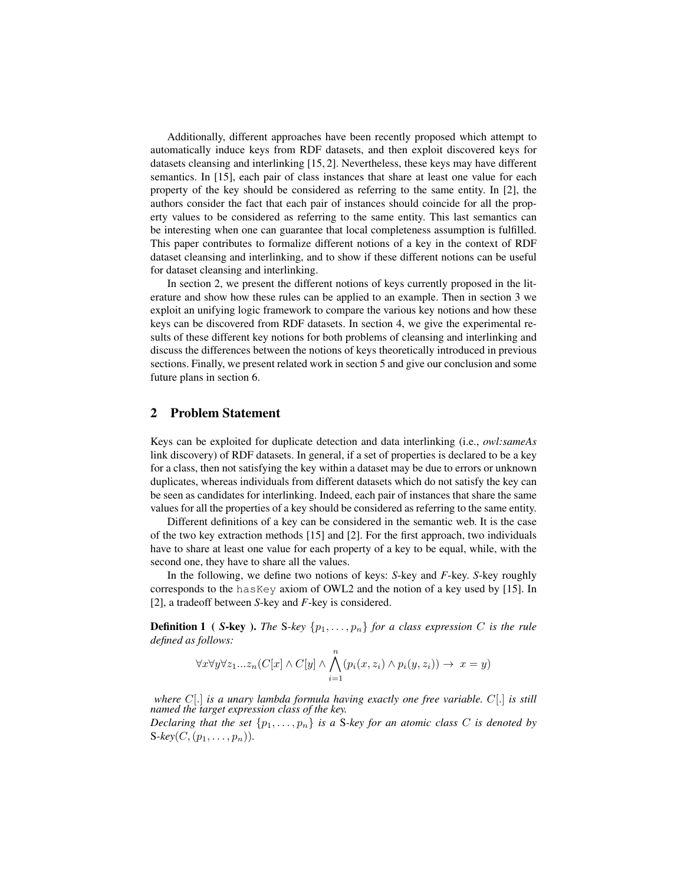Additionally, different approaches have been recently proposed which attempt to automatically induce keys from RDF datasets, and then exploit discovered keys for datasets cleansing and interlinking [15, 2]. Nevertheless, these keys may have different semantics. In [15], each pair of class instances that share at least one value for each property of the key should be considered as referring to the same entity. In [2], the authors consider the fact that each pair of instances should coincide for all the property values to be considered as referring to the same entity. This last semantics can be interesting when one can guarantee that local completeness assumption is fulfilled. This paper contributes to formalize different notions of a key in the context of RDF dataset cleansing and interlinking, and to show if these different notions can be useful for dataset cleansing and interlinking.

In section 2, we present the different notions of keys currently proposed in the literature and show how these rules can be applied to an example. Then in section 3 we exploit an unifying logic framework to compare the various key notions and how these keys can be discovered from RDF datasets. In section 4, we give the experimental results of these different key notions for both problems of cleansing and interlinking and discuss the differences between the notions of keys theoretically introduced in previous sections. Finally, we present related work in section 5 and give our conclusion and some future plans in section 6.

## 2 Problem Statement

Keys can be exploited for duplicate detection and data interlinking (i.e., *owl:sameAs* link discovery) of RDF datasets. In general, if a set of properties is declared to be a key for a class, then not satisfying the key within a dataset may be due to errors or unknown duplicates, whereas individuals from different datasets which do not satisfy the key can be seen as candidates for interlinking. Indeed, each pair of instances that share the same values for all the properties of a key should be considered as referring to the same entity.

Different definitions of a key can be considered in the semantic web. It is the case of the two key extraction methods [15] and [2]. For the first approach, two individuals have to share at least one value for each property of a key to be equal, while, with the second one, they have to share all the values.

In the following, we define two notions of keys: *S*-key and *F*-key. *S*-key roughly corresponds to the hasKey axiom of OWL2 and the notion of a key used by [15]. In [2], a tradeoff between *S*-key and *F*-key is considered.

**Definition 1** ( *S***-key ).** *The S-key*  $\{p_1, \ldots, p_n\}$  *for a class expression C is the rule defined as follows:*

$$
\forall x \forall y \forall z_1...z_n (C[x] \land C[y] \land \bigwedge_{i=1}^n (p_i(x, z_i) \land p_i(y, z_i)) \rightarrow x = y)
$$

*where* C[.] *is a unary lambda formula having exactly one free variable.* C[.] *is still named the target expression class of the key.*

*Declaring that the set*  $\{p_1, \ldots, p_n\}$  *is a S-key for an atomic class C is denoted by*  $S\text{-}key(C,(p_1,\ldots,p_n)).$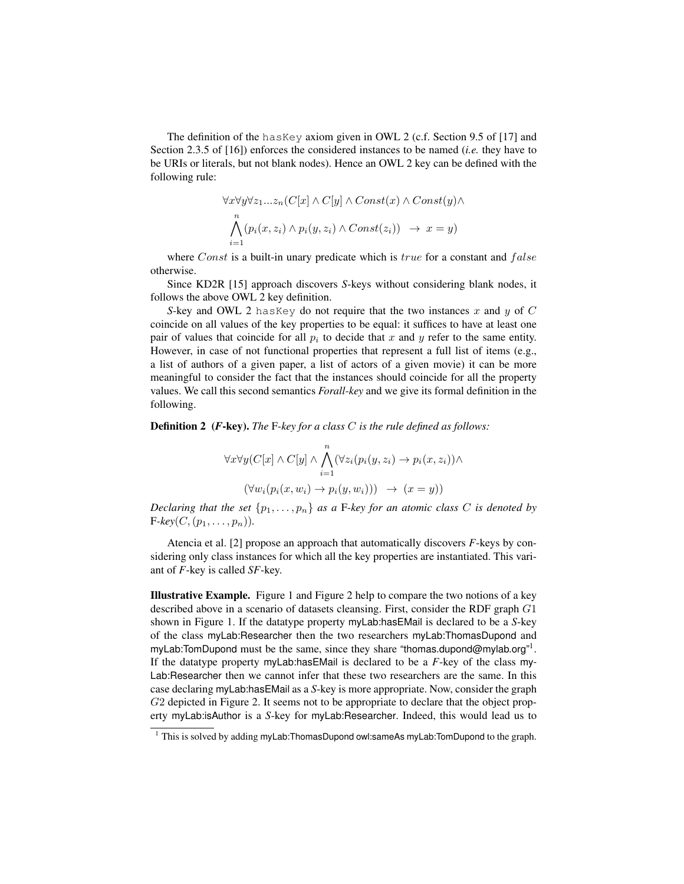The definition of the hasKey axiom given in OWL 2 (c.f. Section 9.5 of [17] and Section 2.3.5 of [16]) enforces the considered instances to be named (*i.e.* they have to be URIs or literals, but not blank nodes). Hence an OWL 2 key can be defined with the following rule:

$$
\forall x \forall y \forall z_1...z_n (C[x] \land C[y] \land Const(x) \land Const(y) \land
$$

$$
\bigwedge_{i=1}^n (p_i(x, z_i) \land p_i(y, z_i) \land Const(z_i)) \rightarrow x = y)
$$

where  $Const$  is a built-in unary predicate which is  $true$  for a constant and  $false$ otherwise.

Since KD2R [15] approach discovers *S*-keys without considering blank nodes, it follows the above OWL 2 key definition.

*S*-key and OWL 2 has Key do not require that the two instances x and y of C coincide on all values of the key properties to be equal: it suffices to have at least one pair of values that coincide for all  $p_i$  to decide that x and y refer to the same entity. However, in case of not functional properties that represent a full list of items (e.g., a list of authors of a given paper, a list of actors of a given movie) it can be more meaningful to consider the fact that the instances should coincide for all the property values. We call this second semantics *Forall-key* and we give its formal definition in the following.

Definition 2 (*F*-key). *The* F*-key for a class* C *is the rule defined as follows:*

$$
\forall x \forall y (C[x] \land C[y] \land \bigwedge_{i=1}^{n} (\forall z_i (p_i(y, z_i) \to p_i(x, z_i)) \land
$$

$$
(\forall w_i (p_i(x, w_i) \to p_i(y, w_i))) \to (x = y))
$$

*Declaring that the set*  $\{p_1, \ldots, p_n\}$  *as a* F-key for an atomic class C is denoted by  $F\text{-}key(C,(p_1,\ldots,p_n)).$ 

Atencia et al. [2] propose an approach that automatically discovers *F*-keys by considering only class instances for which all the key properties are instantiated. This variant of *F*-key is called *SF*-key.

Illustrative Example. Figure 1 and Figure 2 help to compare the two notions of a key described above in a scenario of datasets cleansing. First, consider the RDF graph G1 shown in Figure 1. If the datatype property myLab:hasEMail is declared to be a *S*-key of the class myLab:Researcher then the two researchers myLab:ThomasDupond and myLab:TomDupond must be the same, since they share "thomas.dupond@mylab.org"<sup>1</sup>. If the datatype property myLab:hasEMail is declared to be a *F*-key of the class my-Lab:Researcher then we cannot infer that these two researchers are the same. In this case declaring myLab:hasEMail as a *S*-key is more appropriate. Now, consider the graph G2 depicted in Figure 2. It seems not to be appropriate to declare that the object property myLab:isAuthor is a *S*-key for myLab:Researcher. Indeed, this would lead us to

 $1$  This is solved by adding myLab:ThomasDupond owl:sameAs myLab:TomDupond to the graph.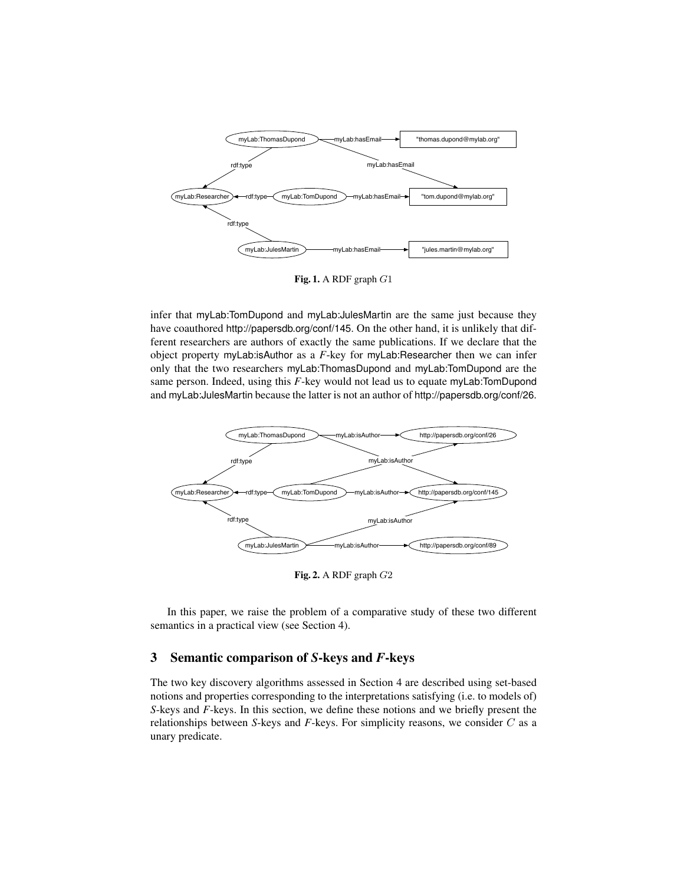

Fig. 1. A RDF graph  $G1$ 

infer that myLab:TomDupond and myLab:JulesMartin are the same just because they have coauthored http://papersdb.org/conf/145. On the other hand, it is unlikely that different researchers are authors of exactly the same publications. If we declare that the object property myLab:isAuthor as a *F*-key for myLab:Researcher then we can infer only that the two researchers myLab:ThomasDupond and myLab:TomDupond are the same person. Indeed, using this *F*-key would not lead us to equate myLab:TomDupond and myLab:JulesMartin because the latter is not an author of http://papersdb.org/conf/26.



Fig. 2. A RDF graph G2

In this paper, we raise the problem of a comparative study of these two different semantics in a practical view (see Section 4).

# 3 Semantic comparison of *S*-keys and *F*-keys

The two key discovery algorithms assessed in Section 4 are described using set-based notions and properties corresponding to the interpretations satisfying (i.e. to models of) *S*-keys and *F*-keys. In this section, we define these notions and we briefly present the relationships between *S*-keys and *F*-keys. For simplicity reasons, we consider C as a unary predicate.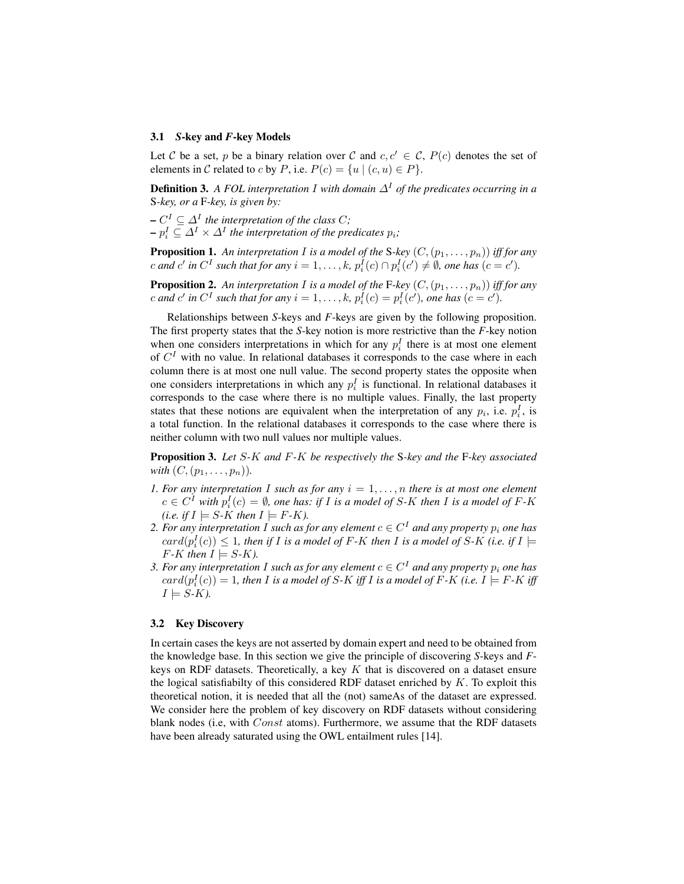#### 3.1 *S*-key and *F*-key Models

Let C be a set, p be a binary relation over C and  $c, c' \in \mathcal{C}$ ,  $P(c)$  denotes the set of elements in C related to c by P, i.e.  $P(c) = \{u \mid (c, u) \in P\}$ .

**Definition 3.** *A FOL interpretation I* with domain  $\Delta^I$  of the predicates occurring in a S*-key, or a* F*-key, is given by:*

 $-C^{I} \subseteq \Delta^{I}$  the interpretation of the class C;  $-p_i^I \subseteq \Delta^I \times \Delta^I$  the interpretation of the predicates  $p_i$ ;

**Proposition 1.** An interpretation I is a model of the S-key  $(C,(p_1,\ldots,p_n))$  iff for any *c* and *c'* in  $C^I$  such that for any  $i = 1, ..., k$ ,  $p_i^I(c) \cap p_i^I(c') \neq \emptyset$ , one has  $(c = c')$ .

**Proposition 2.** An interpretation I is a model of the F-key  $(C,(p_1,\ldots,p_n))$  iff for any *c* and *c'* in  $C^I$  such that for any  $i = 1, \ldots, k$ ,  $p_i^I(c) = p_i^I(c')$ , one has  $(c = c')$ .

Relationships between *S*-keys and *F*-keys are given by the following proposition. The first property states that the *S*-key notion is more restrictive than the *F*-key notion when one considers interpretations in which for any  $p_i^I$  there is at most one element of  $C<sup>I</sup>$  with no value. In relational databases it corresponds to the case where in each column there is at most one null value. The second property states the opposite when one considers interpretations in which any  $p_i^I$  is functional. In relational databases it corresponds to the case where there is no multiple values. Finally, the last property states that these notions are equivalent when the interpretation of any  $p_i$ , i.e.  $p_i^I$ , is a total function. In the relational databases it corresponds to the case where there is neither column with two null values nor multiple values.

Proposition 3. *Let* S*-*K *and* F*-*K *be respectively the* S*-key and the* F*-key associated with*  $(C, (p_1, \ldots, p_n))$ *.* 

- *1. For any interpretation I such as for any*  $i = 1, \ldots, n$  *there is at most one element*  $c \in C^I$  with  $p_i^I(c) = \emptyset$ , one has: if I is a model of S-K then I is a model of F-K *(i.e. if*  $I \models S-K$  *then*  $I \models F-K$ *).*
- 2. *For any interpretation I such as for any element*  $c \in C^{I}$  *and any property*  $p_{i}$  *one has*  $card(p_i^I(c)) \leq 1$ , then if I is a model of F-K then I is a model of S-K (i.e. if I  $\models$  $F$ *-K then*  $I \models S$ *-K).*
- 3. For any interpretation I such as for any element  $c \in C^I$  and any property  $p_i$  one has  $card(p_i^I(c)) = 1$ , then I is a model of S-K iff I is a model of F-K (i.e.  $I \models F\text{-}K$  iff  $I \models S-K$ ).

### 3.2 Key Discovery

In certain cases the keys are not asserted by domain expert and need to be obtained from the knowledge base. In this section we give the principle of discovering *S*-keys and *F*keys on RDF datasets. Theoretically, a key  $K$  that is discovered on a dataset ensure the logical satisfiabilty of this considered RDF dataset enriched by  $K$ . To exploit this theoretical notion, it is needed that all the (not) sameAs of the dataset are expressed. We consider here the problem of key discovery on RDF datasets without considering blank nodes (i.e, with Const atoms). Furthermore, we assume that the RDF datasets have been already saturated using the OWL entailment rules [14].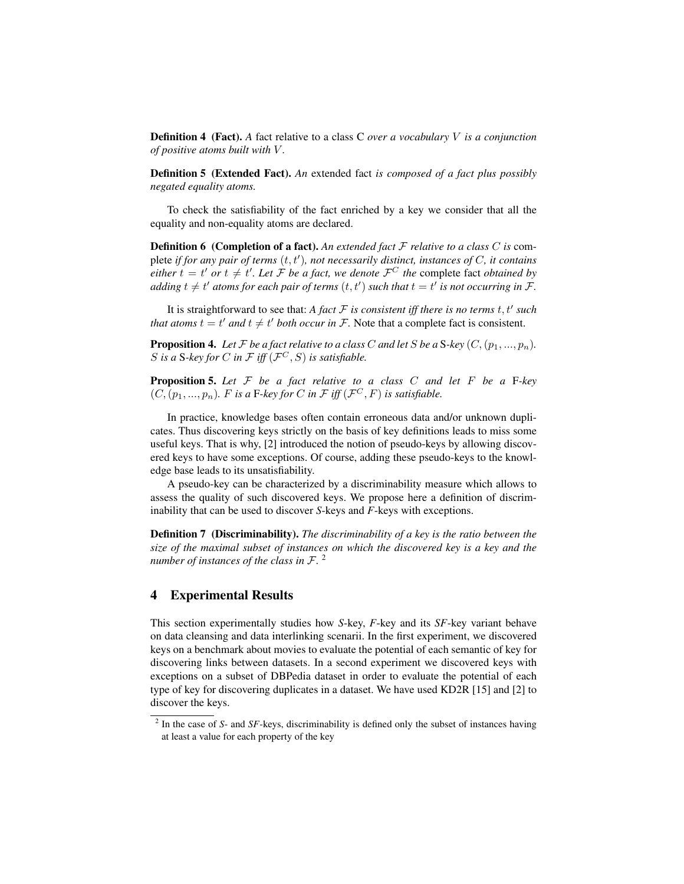Definition 4 (Fact). *A* fact relative to a class C *over a vocabulary* V *is a conjunction of positive atoms built with* V *.*

Definition 5 (Extended Fact). *An* extended fact *is composed of a fact plus possibly negated equality atoms.*

To check the satisfiability of the fact enriched by a key we consider that all the equality and non-equality atoms are declared.

Definition 6 (Completion of a fact). *An extended fact* F *relative to a class* C *is* complete *if for any pair of terms*  $(t, t')$ , not necessarily distinct, instances of C, it contains *either*  $t = t'$  *or*  $t \neq t'$ *. Let*  $\mathcal{F}$  *be a fact, we denote*  $\mathcal{F}^C$  *the* complete fact *obtained by adding*  $t \neq t'$  atoms for each pair of terms  $(t, t')$  such that  $t = t'$  is not occurring in F.

It is straightforward to see that: A fact  $F$  *is consistent iff there is no terms t, t' such that atoms*  $t = t'$  *and*  $t \neq t'$  *both occur in*  $\mathcal{F}$ . Note that a complete fact is consistent.

**Proposition 4.** Let F be a fact relative to a class C and let S be a S-key  $(C,(p_1,...,p_n)$ . S is a S-key for C in F iff  $(\mathcal{F}^C, S)$  is satisfiable.

Proposition 5. *Let* F *be a fact relative to a class* C *and let* F *be a* F*-key*  $(C, (p_1, ..., p_n)$ . F is a F-key for C in F iff  $(\mathcal{F}^C, F)$  is satisfiable.

In practice, knowledge bases often contain erroneous data and/or unknown duplicates. Thus discovering keys strictly on the basis of key definitions leads to miss some useful keys. That is why, [2] introduced the notion of pseudo-keys by allowing discovered keys to have some exceptions. Of course, adding these pseudo-keys to the knowledge base leads to its unsatisfiability.

A pseudo-key can be characterized by a discriminability measure which allows to assess the quality of such discovered keys. We propose here a definition of discriminability that can be used to discover *S*-keys and *F*-keys with exceptions.

Definition 7 (Discriminability). *The discriminability of a key is the ratio between the size of the maximal subset of instances on which the discovered key is a key and the number of instances of the class in* F*.* 2

## 4 Experimental Results

This section experimentally studies how *S*-key, *F*-key and its *SF*-key variant behave on data cleansing and data interlinking scenarii. In the first experiment, we discovered keys on a benchmark about movies to evaluate the potential of each semantic of key for discovering links between datasets. In a second experiment we discovered keys with exceptions on a subset of DBPedia dataset in order to evaluate the potential of each type of key for discovering duplicates in a dataset. We have used KD2R [15] and [2] to discover the keys.

<sup>&</sup>lt;sup>2</sup> In the case of *S*- and *SF*-keys, discriminability is defined only the subset of instances having at least a value for each property of the key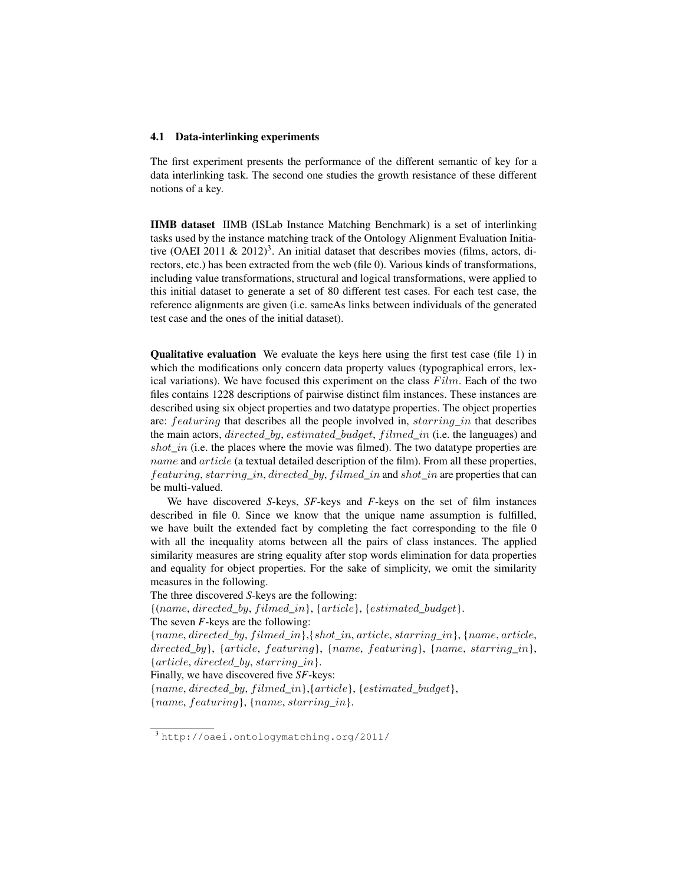#### 4.1 Data-interlinking experiments

The first experiment presents the performance of the different semantic of key for a data interlinking task. The second one studies the growth resistance of these different notions of a key.

IIMB dataset IIMB (ISLab Instance Matching Benchmark) is a set of interlinking tasks used by the instance matching track of the Ontology Alignment Evaluation Initiative (OAEI 2011 & 2012)<sup>3</sup>. An initial dataset that describes movies (films, actors, directors, etc.) has been extracted from the web (file 0). Various kinds of transformations, including value transformations, structural and logical transformations, were applied to this initial dataset to generate a set of 80 different test cases. For each test case, the reference alignments are given (i.e. sameAs links between individuals of the generated test case and the ones of the initial dataset).

Qualitative evaluation We evaluate the keys here using the first test case (file 1) in which the modifications only concern data property values (typographical errors, lexical variations). We have focused this experiment on the class  $Film$ . Each of the two files contains 1228 descriptions of pairwise distinct film instances. These instances are described using six object properties and two datatype properties. The object properties are: *featuring* that describes all the people involved in, *starring in* that describes the main actors, *directed\_by, estimated\_budget, filmed\_in* (i.e. the languages) and shot in (i.e. the places where the movie was filmed). The two datatype properties are name and article (a textual detailed description of the film). From all these properties, featuring, starring in, directed by, filmed in and shot in are properties that can be multi-valued.

We have discovered *S*-keys, *SF*-keys and *F*-keys on the set of film instances described in file 0. Since we know that the unique name assumption is fulfilled, we have built the extended fact by completing the fact corresponding to the file 0 with all the inequality atoms between all the pairs of class instances. The applied similarity measures are string equality after stop words elimination for data properties and equality for object properties. For the sake of simplicity, we omit the similarity measures in the following.

The three discovered *S*-keys are the following:

 ${(name, directed_by, filled_in)}, {article}, {estimated\_budget}.$ 

The seven *F*-keys are the following:

Finally, we have discovered five *SF*-keys:

 ${name, directed\ by, filled\ in}{, {article}, {estimated\ budget}}$ {name, featuring}, {name, starring\_in}.

<sup>{</sup>name, directed\_by, f ilmed\_in},{shot\_in, article, starring\_in}, {name, article, directed\_by}, {article, featuring}, {name, featuring}, {name, starring\_in},  ${article, directed\_by, starting\_in}.$ 

<sup>3</sup> http://oaei.ontologymatching.org/2011/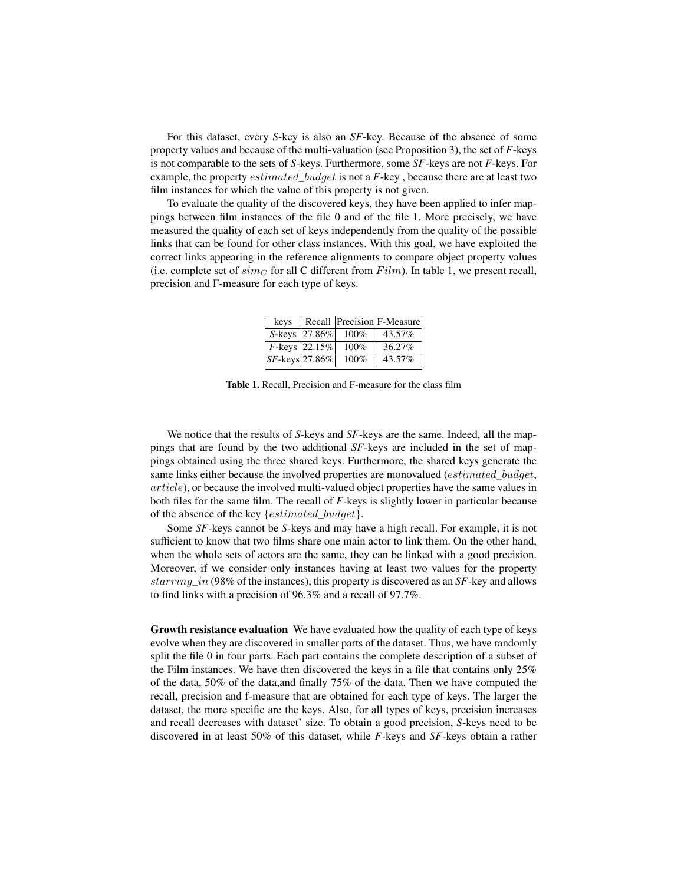For this dataset, every *S*-key is also an *SF*-key. Because of the absence of some property values and because of the multi-valuation (see Proposition 3), the set of *F*-keys is not comparable to the sets of *S*-keys. Furthermore, some *SF*-keys are not *F*-keys. For example, the property estimated\_budget is not a *F*-key , because there are at least two film instances for which the value of this property is not given.

To evaluate the quality of the discovered keys, they have been applied to infer mappings between film instances of the file 0 and of the file 1. More precisely, we have measured the quality of each set of keys independently from the quality of the possible links that can be found for other class instances. With this goal, we have exploited the correct links appearing in the reference alignments to compare object property values (i.e. complete set of  $sim<sub>C</sub>$  for all C different from  $Film$ ). In table 1, we present recall, precision and F-measure for each type of keys.

| kevs               |                   |         | Recall Precision F-Measure |
|--------------------|-------------------|---------|----------------------------|
|                    | S-keys 27.86%     | $100\%$ | 43.57%                     |
|                    | $F$ -keys  22.15% | 100%    | 36.27%                     |
| $ SF$ -keys 27.86% |                   | 100%    | 43.57%                     |

Table 1. Recall, Precision and F-measure for the class film

We notice that the results of *S*-keys and *SF*-keys are the same. Indeed, all the mappings that are found by the two additional *SF*-keys are included in the set of mappings obtained using the three shared keys. Furthermore, the shared keys generate the same links either because the involved properties are monovalued (estimated budget, article), or because the involved multi-valued object properties have the same values in both files for the same film. The recall of *F*-keys is slightly lower in particular because of the absence of the key {*estimated\_budget*}.

Some *SF*-keys cannot be *S*-keys and may have a high recall. For example, it is not sufficient to know that two films share one main actor to link them. On the other hand, when the whole sets of actors are the same, they can be linked with a good precision. Moreover, if we consider only instances having at least two values for the property starring\_in (98% of the instances), this property is discovered as an *SF*-key and allows to find links with a precision of 96.3% and a recall of 97.7%.

Growth resistance evaluation We have evaluated how the quality of each type of keys evolve when they are discovered in smaller parts of the dataset. Thus, we have randomly split the file 0 in four parts. Each part contains the complete description of a subset of the Film instances. We have then discovered the keys in a file that contains only 25% of the data, 50% of the data,and finally 75% of the data. Then we have computed the recall, precision and f-measure that are obtained for each type of keys. The larger the dataset, the more specific are the keys. Also, for all types of keys, precision increases and recall decreases with dataset' size. To obtain a good precision, *S*-keys need to be discovered in at least 50% of this dataset, while *F*-keys and *SF*-keys obtain a rather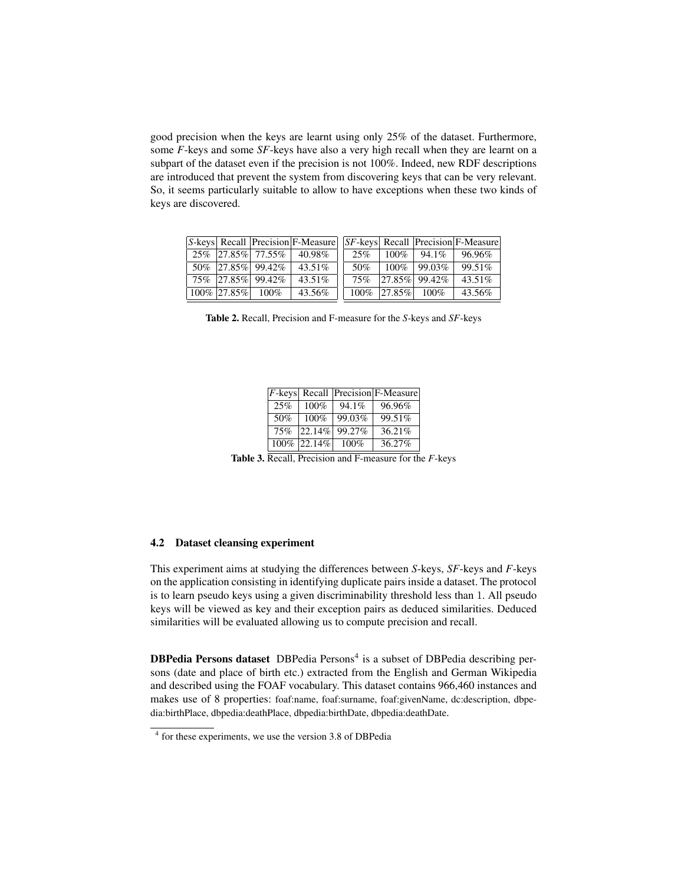good precision when the keys are learnt using only 25% of the dataset. Furthermore, some *F*-keys and some *SF*-keys have also a very high recall when they are learnt on a subpart of the dataset even if the precision is not 100%. Indeed, new RDF descriptions are introduced that prevent the system from discovering keys that can be very relevant. So, it seems particularly suitable to allow to have exceptions when these two kinds of keys are discovered.

|                     |                   | <b>S-keys</b> Recall Precision F-Measure |         |                  |                    | <i>SF-keys</i> Recall Precision F-Measure |
|---------------------|-------------------|------------------------------------------|---------|------------------|--------------------|-------------------------------------------|
|                     |                   | $25\%$ 27.85\% 77.55\% 40.98\%           | 25%     |                  |                    | $100\%$ 94.1\% 96.96\%                    |
|                     | 50% 27.85% 99.42% | $43.51\%$                                | 50%     | $100\%$          | 99.03%             | 99.51%                                    |
|                     | 75% 27.85% 99.42% | $43.51\%$                                | 75%     |                  | $ 27.85\% $ 99.42% | 43.51%                                    |
| $100\%$ 27.85% 100% |                   | 43.56%                                   | $100\%$ | $ 27.85\% $ 100% |                    | 43.56%                                    |

Table 2. Recall, Precision and F-measure for the *S*-keys and *SF*-keys

|     |             |        | $ F$ -keys Recall Precision F-Measure |
|-----|-------------|--------|---------------------------------------|
| 25% | 100%        | 94.1%  | 96.96%                                |
| 50% | 100%        | 99.03% | 99.51%                                |
| 75% | $ 22.14\% $ | 99.27% | 36.21%                                |
|     | 100% 22.14% | 100%   | 36.27%                                |

Table 3. Recall, Precision and F-measure for the *F*-keys

### 4.2 Dataset cleansing experiment

This experiment aims at studying the differences between *S*-keys, *SF*-keys and *F*-keys on the application consisting in identifying duplicate pairs inside a dataset. The protocol is to learn pseudo keys using a given discriminability threshold less than 1. All pseudo keys will be viewed as key and their exception pairs as deduced similarities. Deduced similarities will be evaluated allowing us to compute precision and recall.

DBPedia Persons dataset DBPedia Persons<sup>4</sup> is a subset of DBPedia describing persons (date and place of birth etc.) extracted from the English and German Wikipedia and described using the FOAF vocabulary. This dataset contains 966,460 instances and makes use of 8 properties: foaf:name, foaf:surname, foaf:givenName, dc:description, dbpedia:birthPlace, dbpedia:deathPlace, dbpedia:birthDate, dbpedia:deathDate.

<sup>4</sup> for these experiments, we use the version 3.8 of DBPedia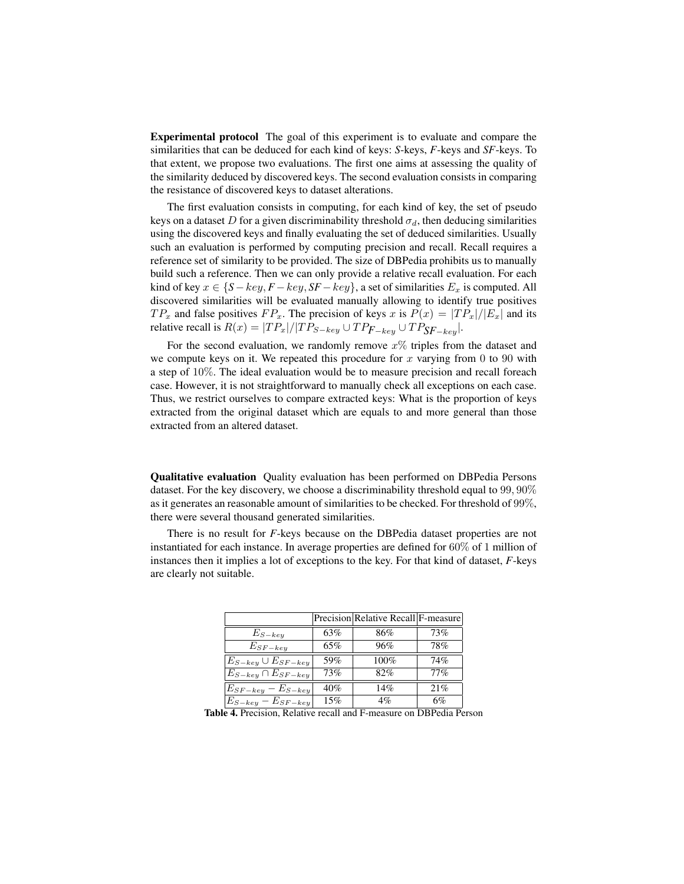Experimental protocol The goal of this experiment is to evaluate and compare the similarities that can be deduced for each kind of keys: *S*-keys, *F*-keys and *SF*-keys. To that extent, we propose two evaluations. The first one aims at assessing the quality of the similarity deduced by discovered keys. The second evaluation consists in comparing the resistance of discovered keys to dataset alterations.

The first evaluation consists in computing, for each kind of key, the set of pseudo keys on a dataset D for a given discriminability threshold  $\sigma_d$ , then deducing similarities using the discovered keys and finally evaluating the set of deduced similarities. Usually such an evaluation is performed by computing precision and recall. Recall requires a reference set of similarity to be provided. The size of DBPedia prohibits us to manually build such a reference. Then we can only provide a relative recall evaluation. For each kind of key  $x \in \{S - key, F - key, SF - key\}$ , a set of similarities  $E_x$  is computed. All discovered similarities will be evaluated manually allowing to identify true positives  $TP_x$  and false positives  $FP_x$ . The precision of keys x is  $P(x) = |TP_x|/|E_x|$  and its relative recall is  $R(x) = |TP_x|/|TP_{S-key} \cup TP_{F-key} \cup TP_{SF-key}|$ .

For the second evaluation, we randomly remove  $x\%$  triples from the dataset and we compute keys on it. We repeated this procedure for x varying from 0 to 90 with a step of 10%. The ideal evaluation would be to measure precision and recall foreach case. However, it is not straightforward to manually check all exceptions on each case. Thus, we restrict ourselves to compare extracted keys: What is the proportion of keys extracted from the original dataset which are equals to and more general than those extracted from an altered dataset.

Qualitative evaluation Quality evaluation has been performed on DBPedia Persons dataset. For the key discovery, we choose a discriminability threshold equal to 99, 90% as it generates an reasonable amount of similarities to be checked. For threshold of 99%, there were several thousand generated similarities.

There is no result for *F*-keys because on the DBPedia dataset properties are not instantiated for each instance. In average properties are defined for 60% of 1 million of instances then it implies a lot of exceptions to the key. For that kind of dataset, *F*-keys are clearly not suitable.

|                             |     | Precision Relative Recall F-measure |     |
|-----------------------------|-----|-------------------------------------|-----|
| $E_{S-key}$                 | 63% | 86%                                 | 73% |
| $E_{SF-key}$                | 65% | 96%                                 | 78% |
| $E_{S-key} \cup E_{SF-key}$ | 59% | 100%                                | 74% |
| $E_{S-key} \cap E_{SF-key}$ | 73% | 82%                                 | 77% |
| $E_{SF-key} - E_{S-key}$    | 40% | 14%                                 | 21% |
| $E_{S-key} - E_{SF-key}$    | 15% | 4%                                  | 6%  |

Table 4. Precision, Relative recall and F-measure on DBPedia Person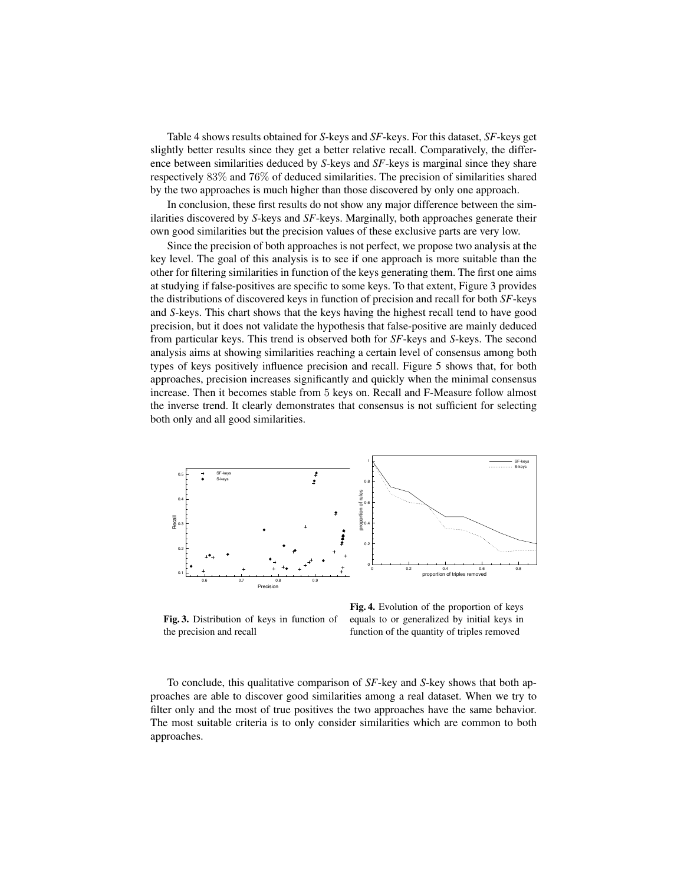Table 4 shows results obtained for *S*-keys and *SF*-keys. For this dataset, *SF*-keys get slightly better results since they get a better relative recall. Comparatively, the difference between similarities deduced by *S*-keys and *SF*-keys is marginal since they share respectively 83% and 76% of deduced similarities. The precision of similarities shared by the two approaches is much higher than those discovered by only one approach.

In conclusion, these first results do not show any major difference between the similarities discovered by *S*-keys and *SF*-keys. Marginally, both approaches generate their own good similarities but the precision values of these exclusive parts are very low.

Since the precision of both approaches is not perfect, we propose two analysis at the key level. The goal of this analysis is to see if one approach is more suitable than the other for filtering similarities in function of the keys generating them. The first one aims at studying if false-positives are specific to some keys. To that extent, Figure 3 provides the distributions of discovered keys in function of precision and recall for both *SF*-keys and *S*-keys. This chart shows that the keys having the highest recall tend to have good precision, but it does not validate the hypothesis that false-positive are mainly deduced from particular keys. This trend is observed both for *SF*-keys and *S*-keys. The second analysis aims at showing similarities reaching a certain level of consensus among both types of keys positively influence precision and recall. Figure 5 shows that, for both approaches, precision increases significantly and quickly when the minimal consensus increase. Then it becomes stable from 5 keys on. Recall and F-Measure follow almost the inverse trend. It clearly demonstrates that consensus is not sufficient for selecting both only and all good similarities.



Fig. 3. Distribution of keys in function of the precision and recall

Fig. 4. Evolution of the proportion of keys equals to or generalized by initial keys in function of the quantity of triples removed

To conclude, this qualitative comparison of *SF*-key and *S*-key shows that both approaches are able to discover good similarities among a real dataset. When we try to filter only and the most of true positives the two approaches have the same behavior. The most suitable criteria is to only consider similarities which are common to both approaches.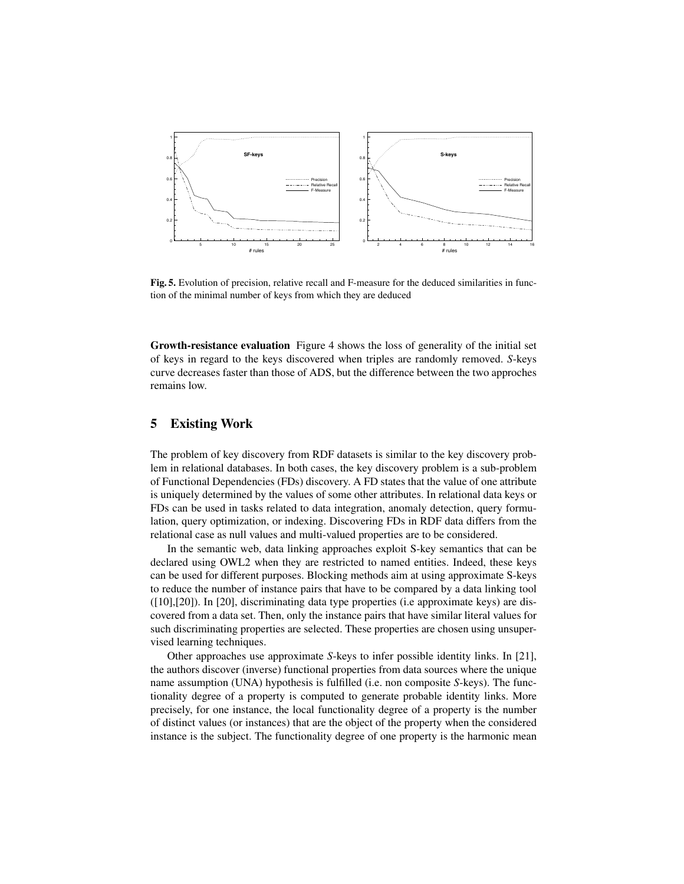

Fig. 5. Evolution of precision, relative recall and F-measure for the deduced similarities in function of the minimal number of keys from which they are deduced

Growth-resistance evaluation Figure 4 shows the loss of generality of the initial set of keys in regard to the keys discovered when triples are randomly removed. *S*-keys curve decreases faster than those of ADS, but the difference between the two approches remains low.

## 5 Existing Work

The problem of key discovery from RDF datasets is similar to the key discovery problem in relational databases. In both cases, the key discovery problem is a sub-problem of Functional Dependencies (FDs) discovery. A FD states that the value of one attribute is uniquely determined by the values of some other attributes. In relational data keys or FDs can be used in tasks related to data integration, anomaly detection, query formulation, query optimization, or indexing. Discovering FDs in RDF data differs from the relational case as null values and multi-valued properties are to be considered.

In the semantic web, data linking approaches exploit S-key semantics that can be declared using OWL2 when they are restricted to named entities. Indeed, these keys can be used for different purposes. Blocking methods aim at using approximate S-keys to reduce the number of instance pairs that have to be compared by a data linking tool ([10],[20]). In [20], discriminating data type properties (i.e approximate keys) are discovered from a data set. Then, only the instance pairs that have similar literal values for such discriminating properties are selected. These properties are chosen using unsupervised learning techniques.

Other approaches use approximate *S*-keys to infer possible identity links. In [21], the authors discover (inverse) functional properties from data sources where the unique name assumption (UNA) hypothesis is fulfilled (i.e. non composite *S*-keys). The functionality degree of a property is computed to generate probable identity links. More precisely, for one instance, the local functionality degree of a property is the number of distinct values (or instances) that are the object of the property when the considered instance is the subject. The functionality degree of one property is the harmonic mean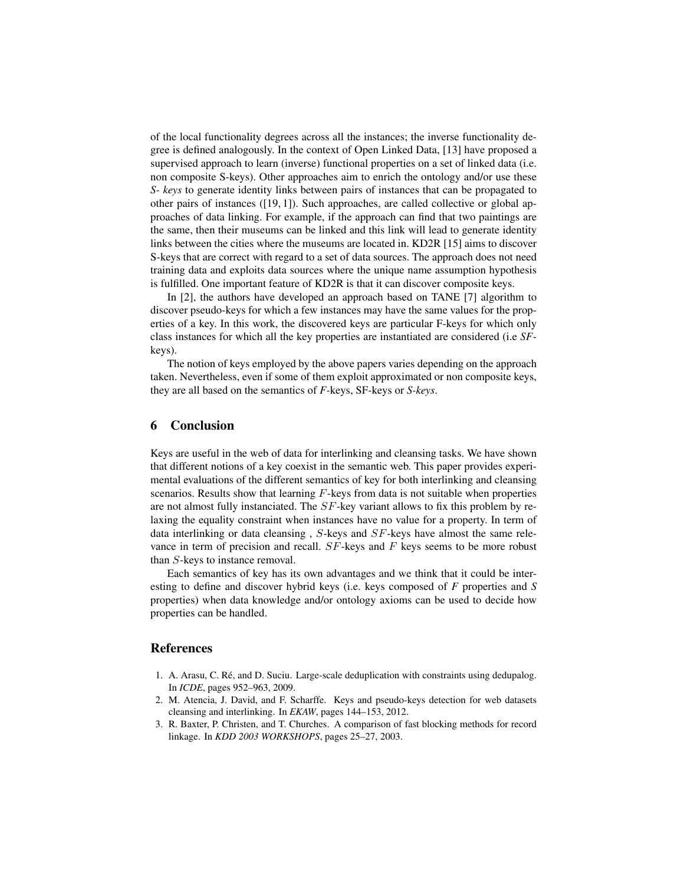of the local functionality degrees across all the instances; the inverse functionality degree is defined analogously. In the context of Open Linked Data, [13] have proposed a supervised approach to learn (inverse) functional properties on a set of linked data (i.e. non composite S-keys). Other approaches aim to enrich the ontology and/or use these *S- keys* to generate identity links between pairs of instances that can be propagated to other pairs of instances ([19, 1]). Such approaches, are called collective or global approaches of data linking. For example, if the approach can find that two paintings are the same, then their museums can be linked and this link will lead to generate identity links between the cities where the museums are located in. KD2R [15] aims to discover S-keys that are correct with regard to a set of data sources. The approach does not need training data and exploits data sources where the unique name assumption hypothesis is fulfilled. One important feature of KD2R is that it can discover composite keys.

In [2], the authors have developed an approach based on TANE [7] algorithm to discover pseudo-keys for which a few instances may have the same values for the properties of a key. In this work, the discovered keys are particular F-keys for which only class instances for which all the key properties are instantiated are considered (i.e *SF*keys).

The notion of keys employed by the above papers varies depending on the approach taken. Nevertheless, even if some of them exploit approximated or non composite keys, they are all based on the semantics of *F-*keys, SF-keys or *S-keys*.

## 6 Conclusion

Keys are useful in the web of data for interlinking and cleansing tasks. We have shown that different notions of a key coexist in the semantic web. This paper provides experimental evaluations of the different semantics of key for both interlinking and cleansing scenarios. Results show that learning  $F$ -keys from data is not suitable when properties are not almost fully instanciated. The  $SF$ -key variant allows to fix this problem by relaxing the equality constraint when instances have no value for a property. In term of data interlinking or data cleansing , S-keys and SF-keys have almost the same relevance in term of precision and recall.  $SF$ -keys and  $F$  keys seems to be more robust than S-keys to instance removal.

Each semantics of key has its own advantages and we think that it could be interesting to define and discover hybrid keys (i.e. keys composed of *F* properties and *S* properties) when data knowledge and/or ontology axioms can be used to decide how properties can be handled.

#### References

- 1. A. Arasu, C. Ré, and D. Suciu. Large-scale deduplication with constraints using dedupalog. In *ICDE*, pages 952–963, 2009.
- 2. M. Atencia, J. David, and F. Scharffe. Keys and pseudo-keys detection for web datasets cleansing and interlinking. In *EKAW*, pages 144–153, 2012.
- 3. R. Baxter, P. Christen, and T. Churches. A comparison of fast blocking methods for record linkage. In *KDD 2003 WORKSHOPS*, pages 25–27, 2003.